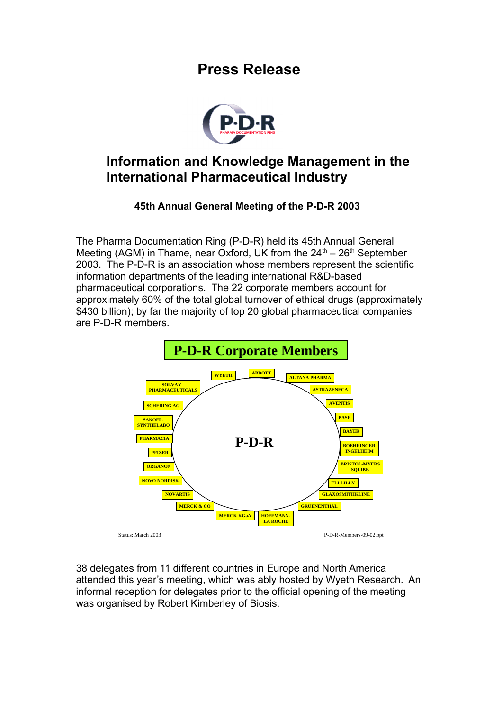## **Press Release**



## **Information and Knowledge Management in the International Pharmaceutical Industry**

## **45th Annual General Meeting of the P-D-R 2003**

The Pharma Documentation Ring (P-D-R) held its 45th Annual General Meeting (AGM) in Thame, near Oxford, UK from the  $24<sup>th</sup> - 26<sup>th</sup>$  September 2003. The P-D-R is an association whose members represent the scientific information departments of the leading international R&D-based pharmaceutical corporations. The 22 corporate members account for approximately 60% of the total global turnover of ethical drugs (approximately \$430 billion); by far the majority of top 20 global pharmaceutical companies are P-D-R members.



38 delegates from 11 different countries in Europe and North America attended this year's meeting, which was ably hosted by Wyeth Research. An informal reception for delegates prior to the official opening of the meeting was organised by Robert Kimberley of Biosis.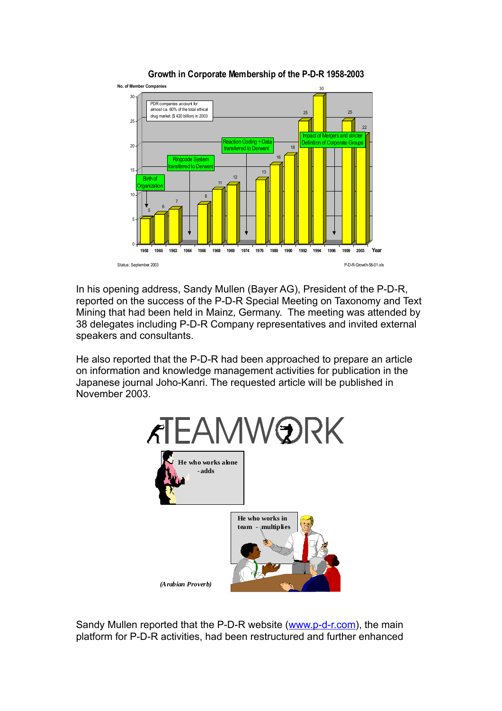

**Growth in Corporate Membership of the P-D-R 1958-2003**

In his opening address, Sandy Mullen (Bayer AG), President of the P-D-R, reported on the success of the P-D-R Special Meeting on Taxonomy and Text Mining that had been held in Mainz, Germany. The meeting was attended by 38 delegates including P-D-R Company representatives and invited external speakers and consultants.

He also reported that the P-D-R had been approached to prepare an article on information and knowledge management activities for publication in the Japanese journal Joho-Kanri. The requested article will be published in November 2003.



Sandy Mullen reported that the P-D-R website [\(www.p-d-r.com\)](http://www.p-d-r.com/), the main platform for P-D-R activities, had been restructured and further enhanced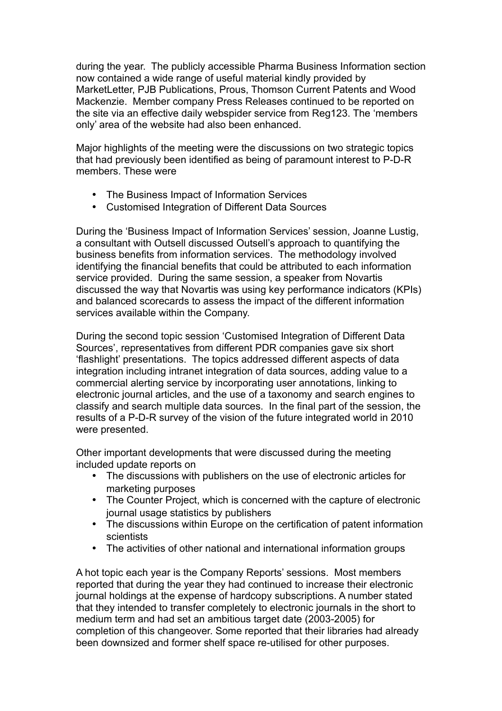during the year. The publicly accessible Pharma Business Information section now contained a wide range of useful material kindly provided by MarketLetter, PJB Publications, Prous, Thomson Current Patents and Wood Mackenzie. Member company Press Releases continued to be reported on the site via an effective daily webspider service from Reg123. The 'members only' area of the website had also been enhanced.

Major highlights of the meeting were the discussions on two strategic topics that had previously been identified as being of paramount interest to P-D-R members. These were

- The Business Impact of Information Services
- Customised Integration of Different Data Sources

During the 'Business Impact of Information Services' session, Joanne Lustig, a consultant with Outsell discussed Outsell's approach to quantifying the business benefits from information services. The methodology involved identifying the financial benefits that could be attributed to each information service provided. During the same session, a speaker from Novartis discussed the way that Novartis was using key performance indicators (KPIs) and balanced scorecards to assess the impact of the different information services available within the Company.

During the second topic session 'Customised Integration of Different Data Sources', representatives from different PDR companies gave six short 'flashlight' presentations. The topics addressed different aspects of data integration including intranet integration of data sources, adding value to a commercial alerting service by incorporating user annotations, linking to electronic journal articles, and the use of a taxonomy and search engines to classify and search multiple data sources. In the final part of the session, the results of a P-D-R survey of the vision of the future integrated world in 2010 were presented.

Other important developments that were discussed during the meeting included update reports on

- The discussions with publishers on the use of electronic articles for marketing purposes
- The Counter Project, which is concerned with the capture of electronic journal usage statistics by publishers
- The discussions within Europe on the certification of patent information **scientists**
- The activities of other national and international information groups

A hot topic each year is the Company Reports' sessions. Most members reported that during the year they had continued to increase their electronic journal holdings at the expense of hardcopy subscriptions. A number stated that they intended to transfer completely to electronic journals in the short to medium term and had set an ambitious target date (2003-2005) for completion of this changeover. Some reported that their libraries had already been downsized and former shelf space re-utilised for other purposes.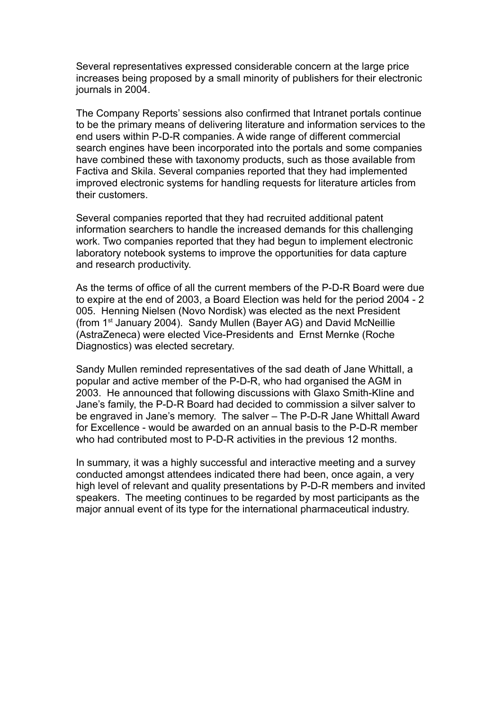Several representatives expressed considerable concern at the large price increases being proposed by a small minority of publishers for their electronic journals in 2004.

The Company Reports' sessions also confirmed that Intranet portals continue to be the primary means of delivering literature and information services to the end users within P-D-R companies. A wide range of different commercial search engines have been incorporated into the portals and some companies have combined these with taxonomy products, such as those available from Factiva and Skila. Several companies reported that they had implemented improved electronic systems for handling requests for literature articles from their customers.

Several companies reported that they had recruited additional patent information searchers to handle the increased demands for this challenging work. Two companies reported that they had begun to implement electronic laboratory notebook systems to improve the opportunities for data capture and research productivity.

As the terms of office of all the current members of the P-D-R Board were due to expire at the end of 2003, a Board Election was held for the period 2004 - 2 005. Henning Nielsen (Novo Nordisk) was elected as the next President (from 1st January 2004). Sandy Mullen (Bayer AG) and David McNeillie (AstraZeneca) were elected Vice-Presidents and Ernst Mernke (Roche Diagnostics) was elected secretary.

Sandy Mullen reminded representatives of the sad death of Jane Whittall, a popular and active member of the P-D-R, who had organised the AGM in 2003. He announced that following discussions with Glaxo Smith-Kline and Jane's family, the P-D-R Board had decided to commission a silver salver to be engraved in Jane's memory. The salver – The P-D-R Jane Whittall Award for Excellence - would be awarded on an annual basis to the P-D-R member who had contributed most to P-D-R activities in the previous 12 months.

In summary, it was a highly successful and interactive meeting and a survey conducted amongst attendees indicated there had been, once again, a very high level of relevant and quality presentations by P-D-R members and invited speakers. The meeting continues to be regarded by most participants as the major annual event of its type for the international pharmaceutical industry.